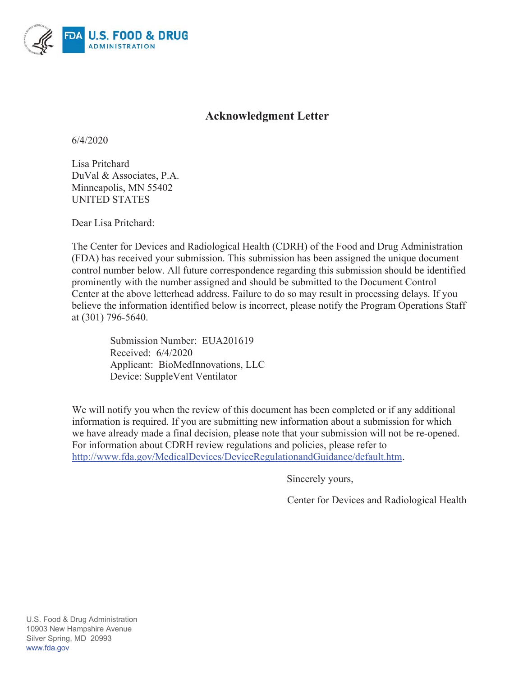

# **Acknowledgment Letter**

 $6/4/2020$ 

Lisa Pritchard DuVal & Associates, P.A. Minneapolis, MN 55402 **UNITED STATES** 

Dear Lisa Pritchard:

The Center for Devices and Radiological Health (CDRH) of the Food and Drug Administration (FDA) has received your submission. This submission has been assigned the unique document control number below. All future correspondence regarding this submission should be identified prominently with the number assigned and should be submitted to the Document Control Center at the above letterhead address. Failure to do so may result in processing delays. If you believe the information identified below is incorrect, please notify the Program Operations Staff at (301) 796-5640.

Submission Number: EUA201619 Received: 6/4/2020 Applicant: BioMedInnovations, LLC Device: SuppleVent Ventilator

We will notify you when the review of this document has been completed or if any additional information is required. If you are submitting new information about a submission for which we have already made a final decision, please note that your submission will not be re-opened. For information about CDRH review regulations and policies, please refer to http://www.fda.gov/MedicalDevices/DeviceRegulationandGuidance/default.htm.

Sincerely yours,

Center for Devices and Radiological Health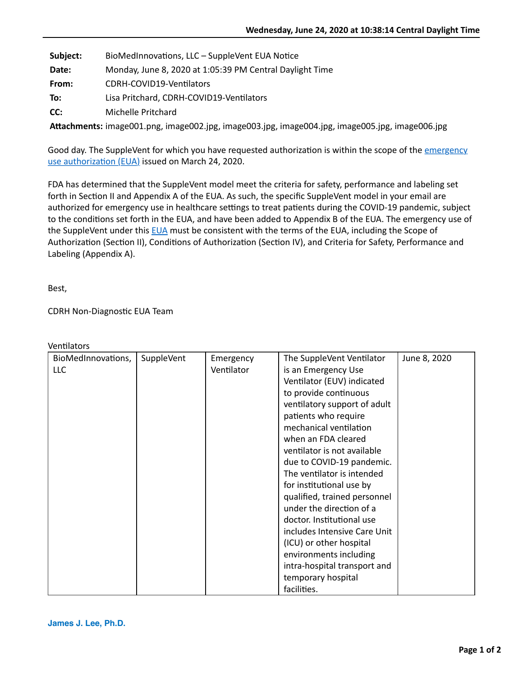| Subject: | BioMedInnovations, LLC - SuppleVent EUA Notice           |
|----------|----------------------------------------------------------|
| Date:    | Monday, June 8, 2020 at 1:05:39 PM Central Daylight Time |
| From:    | CDRH-COVID19-Ventilators                                 |
| To:      | Lisa Pritchard, CDRH-COVID19-Ventilators                 |
| CC:      | Michelle Pritchard                                       |

**AFachments:** image001.png, image002.jpg, image003.jpg, image004.jpg, image005.jpg, image006.jpg

Good day. The SuppleVent for which you have requested authorization is within the scope of the *emergency* use authorization (EUA) issued on March 24, 2020.

FDA has determined that the SuppleVent model meet the criteria for safety, performance and labeling set forth in Section II and Appendix A of the EUA. As such, the specific SuppleVent model in your email are authorized for emergency use in healthcare settings to treat patients during the COVID-19 pandemic, subject to the conditions set forth in the EUA, and have been added to Appendix B of the EUA. The emergency use of the SuppleVent under this [EUA](https://www.fda.gov/media/136423/download) must be consistent with the terms of the EUA, including the Scope of Authorization (Section II), Conditions of Authorization (Section IV), and Criteria for Safety, Performance and Labeling (Appendix A).

Best,

CDRH Non-Diagnostic EUA Team

| BioMedInnovations, | SuppleVent | Emergency  | The SuppleVent Ventilator    | June 8, 2020 |
|--------------------|------------|------------|------------------------------|--------------|
| LLC                |            | Ventilator | is an Emergency Use          |              |
|                    |            |            | Ventilator (EUV) indicated   |              |
|                    |            |            | to provide continuous        |              |
|                    |            |            | ventilatory support of adult |              |
|                    |            |            | patients who require         |              |
|                    |            |            | mechanical ventilation       |              |
|                    |            |            | when an FDA cleared          |              |
|                    |            |            | ventilator is not available  |              |
|                    |            |            | due to COVID-19 pandemic.    |              |
|                    |            |            | The ventilator is intended   |              |
|                    |            |            | for institutional use by     |              |
|                    |            |            | qualified, trained personnel |              |
|                    |            |            | under the direction of a     |              |
|                    |            |            | doctor. Institutional use    |              |
|                    |            |            | includes Intensive Care Unit |              |
|                    |            |            | (ICU) or other hospital      |              |
|                    |            |            | environments including       |              |
|                    |            |            | intra-hospital transport and |              |
|                    |            |            | temporary hospital           |              |
|                    |            |            | facilities.                  |              |

Ventilators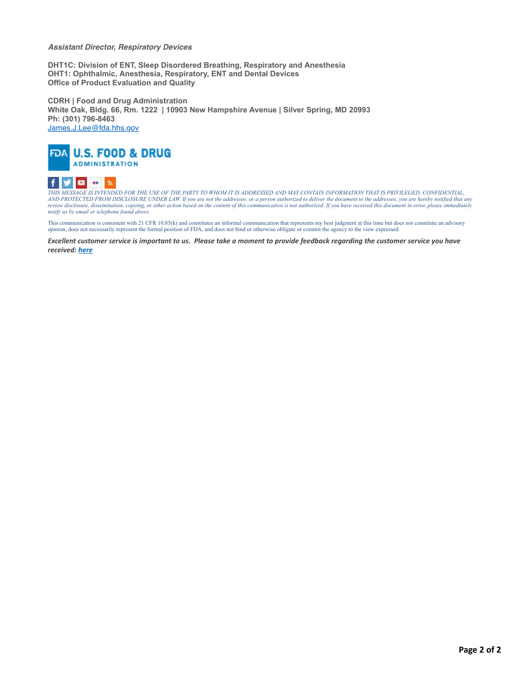#### *Assistant Director, Respiratory Devices*

**DHT1C: Division of ENT, Sleep Disordered Breathing, Respiratory and Anesthesia OHT1: Ophthalmic, Anesthesia, Respiratory, ENT and Dental Devices Office of Product Evaluation and Quality**

**CDRH | Food and Drug Administration White Oak, Bldg. 66, Rm. 1222 | 10903 New Hampshire Avenue | Silver Spring, MD 20993 Ph: (301) 796-8463** [James.J.Lee@fda.hhs.gov](mailto:James.J.Lee@fda.hhs.gov)



#### **DB** 20 31 f

[THIS](https://www.facebook.com/FDA) [MES](https://twitter.com/US_FDA)S[AGE](http://www.youtube.com/user/USFoodandDrugAdmin) I[S INT](http://www.flickr.com/photos/fdaphotos/)ERFACT ON THE USE OF THE PARTY TO WHOM IT IS ADDRESSED AND MAY CONTAIN INFORMATION THAT IS PRIVILEGED, CONFIDENTIAL,<br>THIS MESSAGE IS INT[ENDE](http://www.fda.gov/AboutFDA/ContactFDA/StayInformed/RSSFeeds/default.htm)D FOR THE USE OF THE PARTY TO WHOM IT IS ADDRESSED AND MAY CONT *notify us by email or telephone found above.*

This communication is consistent with 21 CFR 10.85(k) and constitutes an informal communication that represents my best judgment at this time but does not constitute an advisory opinion, does not necessarily represent the formal position of FDA, and does not bind or otherwise obligate or commit the agency to the view expressed.

*Excellent customer service is important to us. Please take a moment to provide feedback regarding the customer service you have received: [here](https://www.research.net/s/cdrhcustomerservice?ID=1330&S=E)*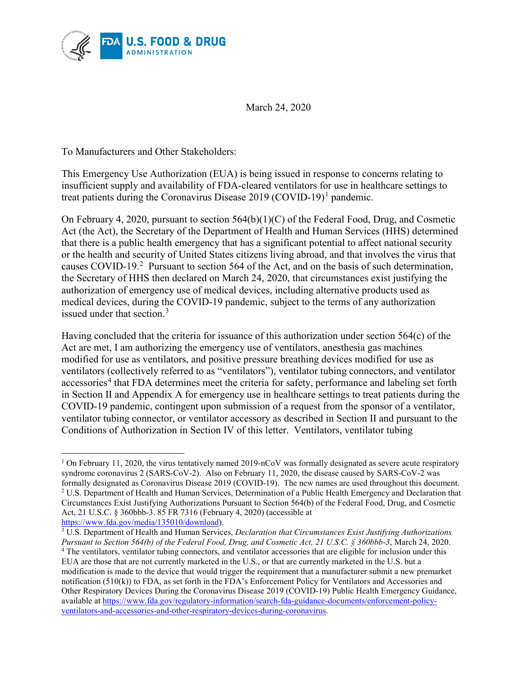<span id="page-3-4"></span>

March 24, 2020

To Manufacturers and Other Stakeholders:

This Emergency Use Authorization (EUA) is being issued in response to concerns relating to insufficient supply and availability of FDA-cleared ventilators for use in healthcare settings to treat patients during the Coronavirus Disease 20[1](#page-3-0)9 (COVID-19)<sup>1</sup> pandemic.

On February 4, 2020, pursuant to section 564(b)(1)(C) of the Federal Food, Drug, and Cosmetic Act (the Act), the Secretary of the Department of Health and Human Services (HHS) determined that there is a public health emergency that has a significant potential to affect national security or the health and security of United States citizens living abroad, and that involves the virus that causes COVID-19.<sup>[2](#page-3-1)</sup> Pursuant to section 564 of the Act, and on the basis of such determination, the Secretary of HHS then declared on March 24, 2020, that circumstances exist justifying the authorization of emergency use of medical devices, including alternative products used as medical devices, during the COVID-19 pandemic, subject to the terms of any authorization issued under that section. [3](#page-3-2)

Having concluded that the criteria for issuance of this authorization under section 564(c) of the Act are met, I am authorizing the emergency use of ventilators, anesthesia gas machines modified for use as ventilators, and positive pressure breathing devices modified for use as ventilators (collectively referred to as "ventilators"), ventilator tubing connectors, and ventilator accessories<sup>[4](#page-3-3)</sup> that FDA determines meet the criteria for safety, performance and labeling set forth in Section II and Appendix A for emergency use in healthcare settings to treat patients during the COVID-19 pandemic, contingent upon submission of a request from the sponsor of a ventilator, ventilator tubing connector, or ventilator accessory as described in Section [II](#page-4-0) and pursuant to the Conditions of Authorization in Section IV of this letter. Ventilators, ventilator tubing

<span id="page-3-2"></span><span id="page-3-1"></span><sup>3</sup> U.S. Department of Health and Human Services, *Declaration that Circumstances Exist Justifying Authorizations Pursuant to Section 564(b) of the Federal Food, Drug, and Cosmetic Act, 21 U.S.C. § 360bbb-3*, March 24, 2020.

<span id="page-3-0"></span> $\overline{a}$ <sup>1</sup> On February 11, 2020, the virus tentatively named 2019-nCoV was formally designated as severe acute respiratory syndrome coronavirus 2 (SARS-CoV-2). Also on February 11, 2020, the disease caused by SARS-CoV-2 was formally designated as Coronavirus Disease 2019 (COVID-19). The new names are used throughout this document. <sup>2</sup> U.S. Department of Health and Human Services, Determination of a Public Health Emergency and Declaration that Circumstances Exist Justifying Authorizations Pursuant to Section 564(b) of the Federal Food, Drug, and Cosmetic Act, 21 U.S.C. § 360bbb-3. 85 FR 7316 (February 4, 2020) (accessible at https://www.fda.gov/media/135010/download).

<span id="page-3-3"></span><sup>4</sup> The ventilators, ventilator tubing connectors, and ventilator accessories that are eligible for inclusion under this EUA are those that are not currently marketed in the U.S., or that are currently marketed in the U.S. but a modification is made to the device that would trigger the requirement that a manufacturer submit a new premarket notification (510(k)) to FDA, as set forth in the FDA's Enforcement Policy for Ventilators and Accessories and Other Respiratory Devices During the Coronavirus Disease 2019 (COVID-19) Public Health Emergency Guidance, available at [https://www.fda.gov/regulatory-information/search-fda-guidance-documents/enforcement-policy](https://www.fda.gov/regulatory-information/search-fda-guidance-documents/enforcement-policy-ventilators-and-accessories-and-other-respiratory-devices-during-coronavirus)[ventilators-and-accessories-and-other-respiratory-devices-during-coronavirus.](https://www.fda.gov/regulatory-information/search-fda-guidance-documents/enforcement-policy-ventilators-and-accessories-and-other-respiratory-devices-during-coronavirus)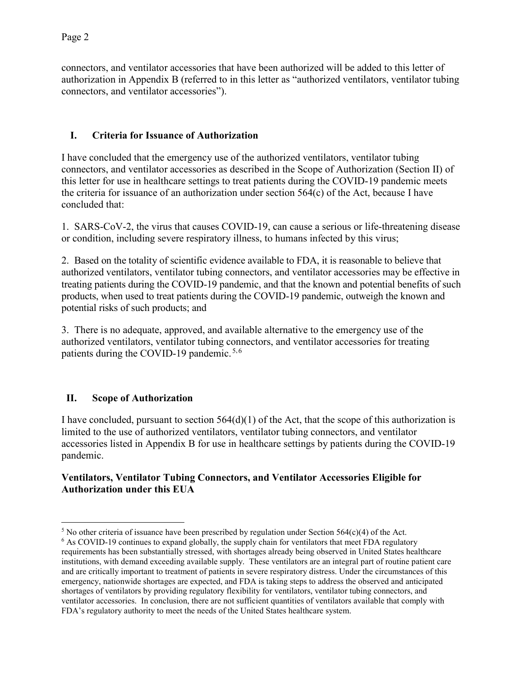connectors, and ventilator accessories that have been authorized will be added to this letter of authorization in [Appendix B](#page-17-0) (referred to in this letter as "authorized ventilators, ventilator tubing connectors, and ventilator accessories").

# **I. Criteria for Issuance of Authorization**

I have concluded that the emergency use of the authorized ventilators, ventilator tubing connectors, and ventilator accessories as described in the Scope of Authorization (Section II) of this letter for use in healthcare settings to treat patients during the COVID-19 pandemic meets the criteria for issuance of an authorization under section 564(c) of the Act, because I have concluded that:

1. SARS-CoV-2, the virus that causes COVID-19, can cause a serious or life-threatening disease or condition, including severe respiratory illness, to humans infected by this virus;

2. Based on the totality of scientific evidence available to FDA, it is reasonable to believe that authorized ventilators, ventilator tubing connectors, and ventilator accessories may be effective in treating patients during the COVID-19 pandemic, and that the known and potential benefits of such products, when used to treat patients during the COVID-19 pandemic, outweigh the known and potential risks of such products; and

3. There is no adequate, approved, and available alternative to the emergency use of the authorized ventilators, ventilator tubing connectors, and ventilator accessories for treating patients during the COVID-19 pandemic. [5](#page-4-1),[6](#page-4-2)

## <span id="page-4-0"></span>**II. Scope of Authorization**

I have concluded, pursuant to section  $564(d)(1)$  of the Act, that the scope of this authorization is limited to the use of authorized ventilators, ventilator tubing connectors, and ventilator accessories listed in Appendix B for use in healthcare settings by patients during the COVID-19 pandemic.

#### **Ventilators, Ventilator Tubing Connectors, and Ventilator Accessories Eligible for Authorization under this EUA**

<span id="page-4-1"></span> $\overline{a}$ <sup>5</sup> No other criteria of issuance have been prescribed by regulation under Section  $564(c)(4)$  of the Act.

<span id="page-4-2"></span><sup>&</sup>lt;sup>6</sup> As COVID-19 continues to expand globally, the supply chain for ventilators that meet FDA regulatory requirements has been substantially stressed, with shortages already being observed in United States healthcare institutions, with demand exceeding available supply. These ventilators are an integral part of routine patient care and are critically important to treatment of patients in severe respiratory distress. Under the circumstances of this emergency, nationwide shortages are expected, and FDA is taking steps to address the observed and anticipated shortages of ventilators by providing regulatory flexibility for ventilators, ventilator tubing connectors, and ventilator accessories. In conclusion, there are not sufficient quantities of ventilators available that comply with FDA's regulatory authority to meet the needs of the United States healthcare system.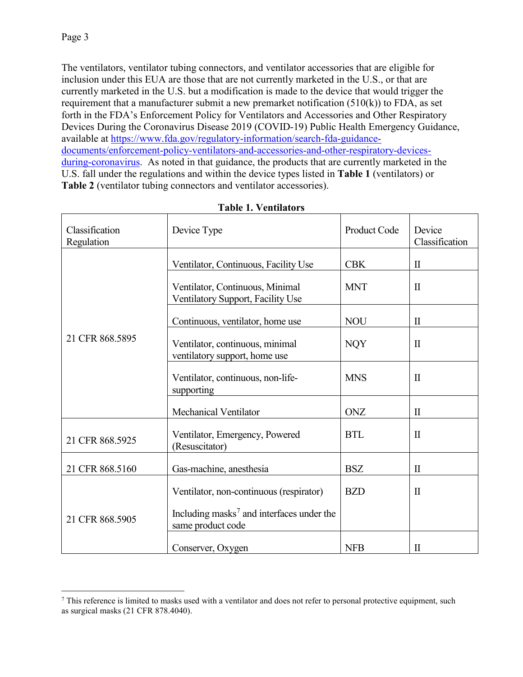$\overline{a}$ 

The ventilators, ventilator tubing connectors, and ventilator accessories that are eligible for inclusion under this EUA are those that are not currently marketed in the U.S., or that are currently marketed in the U.S. but a modification is made to the device that would trigger the requirement that a manufacturer submit a new premarket notification  $(510(k))$  to FDA, as set forth in the FDA's Enforcement Policy for Ventilators and Accessories and Other Respiratory Devices During the Coronavirus Disease 2019 (COVID-19) Public Health Emergency Guidance, available at [https://www.fda.gov/regulatory-information/search-fda-guidance](https://www.fda.gov/regulatory-information/search-fda-guidance-documents/enforcement-policy-ventilators-and-accessories-and-other-respiratory-devices-during-coronavirus)[documents/enforcement-policy-ventilators-and-accessories-and-other-respiratory-devices](https://www.fda.gov/regulatory-information/search-fda-guidance-documents/enforcement-policy-ventilators-and-accessories-and-other-respiratory-devices-during-coronavirus)[during-coronavirus.](https://www.fda.gov/regulatory-information/search-fda-guidance-documents/enforcement-policy-ventilators-and-accessories-and-other-respiratory-devices-during-coronavirus) As noted in that guidance, the products that are currently marketed in the U.S. fall under the regulations and within the device types listed in **[Table 1](#page-5-0)** (ventilators) or **[Table 2](#page-6-0)** (ventilator tubing connectors and ventilator accessories).

<span id="page-5-0"></span>

| Classification<br>Regulation | Device Type                                                                | Product Code | Device<br>Classification |
|------------------------------|----------------------------------------------------------------------------|--------------|--------------------------|
|                              | Ventilator, Continuous, Facility Use                                       | <b>CBK</b>   | $\mathbf{I}$             |
|                              | Ventilator, Continuous, Minimal<br>Ventilatory Support, Facility Use       | <b>MNT</b>   | $\mathbf{I}$             |
|                              | Continuous, ventilator, home use                                           | <b>NOU</b>   | $\mathbf{I}$             |
| 21 CFR 868.5895              | Ventilator, continuous, minimal<br>ventilatory support, home use           | <b>NQY</b>   | $\mathbf{I}$             |
|                              | Ventilator, continuous, non-life-<br>supporting                            | <b>MNS</b>   | $\mathbf{I}$             |
|                              | Mechanical Ventilator                                                      | <b>ONZ</b>   | $\rm II$                 |
| 21 CFR 868.5925              | Ventilator, Emergency, Powered<br>(Resuscitator)                           | <b>BTL</b>   | $\mathbf{I}$             |
| 21 CFR 868.5160              | Gas-machine, anesthesia                                                    | <b>BSZ</b>   | $\mathbf{I}$             |
|                              | Ventilator, non-continuous (respirator)                                    | <b>BZD</b>   | $\mathbf{I}$             |
| 21 CFR 868.5905              | Including masks <sup>7</sup> and interfaces under the<br>same product code |              |                          |
|                              | Conserver, Oxygen                                                          | <b>NFB</b>   | $\rm II$                 |

**Table 1. Ventilators**

<span id="page-5-1"></span> $7$  This reference is limited to masks used with a ventilator and does not refer to personal protective equipment, such as surgical masks (21 CFR 878.4040).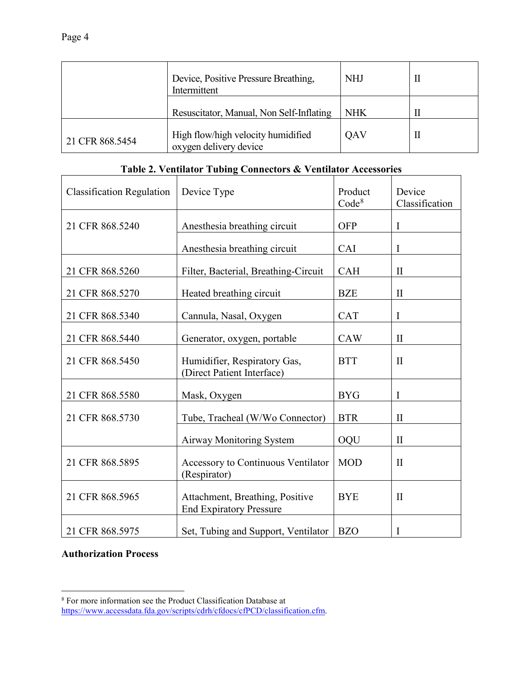|                 | Device, Positive Pressure Breathing,<br>Intermittent         | <b>NHJ</b> |   |
|-----------------|--------------------------------------------------------------|------------|---|
|                 | Resuscitator, Manual, Non Self-Inflating                     | <b>NHK</b> |   |
| 21 CFR 868.5454 | High flow/high velocity humidified<br>oxygen delivery device | OAV        | Н |

# **Table 2. Ventilator Tubing Connectors & Ventilator Accessories**

<span id="page-6-0"></span>

| <b>Classification Regulation</b> | Device Type                                                       | Product<br>Code <sup>8</sup> | Device<br>Classification |
|----------------------------------|-------------------------------------------------------------------|------------------------------|--------------------------|
| 21 CFR 868.5240                  | Anesthesia breathing circuit                                      | <b>OFP</b>                   | I                        |
|                                  | Anesthesia breathing circuit                                      | CAI                          | I                        |
| 21 CFR 868.5260                  | Filter, Bacterial, Breathing-Circuit                              | <b>CAH</b>                   | П                        |
| 21 CFR 868.5270                  | Heated breathing circuit                                          | <b>BZE</b>                   | $\mathbf{I}$             |
| 21 CFR 868.5340                  | Cannula, Nasal, Oxygen                                            | <b>CAT</b>                   | I                        |
| 21 CFR 868.5440                  | Generator, oxygen, portable                                       | <b>CAW</b>                   | $\mathbf{I}$             |
| 21 CFR 868.5450                  | Humidifier, Respiratory Gas,<br>(Direct Patient Interface)        | <b>BTT</b>                   | $\mathbf{I}$             |
| 21 CFR 868.5580                  | Mask, Oxygen                                                      | <b>BYG</b>                   | I                        |
| 21 CFR 868.5730                  | Tube, Tracheal (W/Wo Connector)                                   | <b>BTR</b>                   | $\mathbf{I}$             |
|                                  | <b>Airway Monitoring System</b>                                   | OQU                          | $\mathbf{I}$             |
| 21 CFR 868.5895                  | Accessory to Continuous Ventilator<br>(Respirator)                | <b>MOD</b>                   | $\mathbf{I}$             |
| 21 CFR 868.5965                  | Attachment, Breathing, Positive<br><b>End Expiratory Pressure</b> | <b>BYE</b>                   | $\mathbf{I}$             |
| 21 CFR 868.5975                  | Set, Tubing and Support, Ventilator                               | <b>BZO</b>                   | I                        |

# **Authorization Process**

 $\overline{a}$ 

<span id="page-6-1"></span><sup>8</sup> For more information see the Product Classification Database at [https://www.accessdata.fda.gov/scripts/cdrh/cfdocs/cfPCD/classification.cfm.](https://www.accessdata.fda.gov/scripts/cdrh/cfdocs/cfPCD/classification.cfm)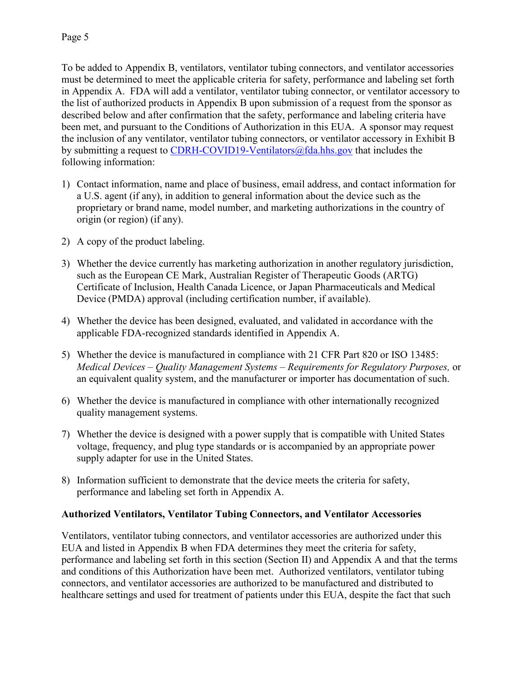To be added to Appendix B, ventilators, ventilator tubing connectors, and ventilator accessories must be determined to meet the applicable criteria for safety, performance and labeling set forth in Appendix A. FDA will add a ventilator, ventilator tubing connector, or ventilator accessory to the list of authorized products in [Appendix B](#page-17-0) upon submission of a request from the sponsor as described below and after confirmation that the safety, performance and labeling criteria have been met, and pursuant to the Conditions of Authorization in this EUA. A sponsor may request the inclusion of any ventilator, ventilator tubing connectors, or ventilator accessory in Exhibit B by submitting a request to [CDRH-COVID19-Ventilators@fda.hhs.gov](mailto:CDRH-COVID19-Ventilators@fda.hhs.gov) that includes the following information:

- 1) Contact information, name and place of business, email address, and contact information for a U.S. agent (if any), in addition to general information about the device such as the proprietary or brand name, model number, and marketing authorizations in the country of origin (or region) (if any).
- 2) A copy of the product labeling.
- 3) Whether the device currently has marketing authorization in another regulatory jurisdiction, such as the European CE Mark, Australian Register of Therapeutic Goods (ARTG) Certificate of Inclusion, Health Canada Licence, or Japan Pharmaceuticals and Medical Device (PMDA) approval (including certification number, if available).
- 4) Whether the device has been designed, evaluated, and validated in accordance with the applicable FDA-recognized standards identified in Appendix A.
- 5) Whether the device is manufactured in compliance with 21 CFR Part 820 or ISO 13485: *Medical Devices – Quality Management Systems – Requirements for Regulatory Purposes,* or an equivalent quality system, and the manufacturer or importer has documentation of such.
- 6) Whether the device is manufactured in compliance with other internationally recognized quality management systems.
- 7) Whether the device is designed with a power supply that is compatible with United States voltage, frequency, and plug type standards or is accompanied by an appropriate power supply adapter for use in the United States.
- 8) Information sufficient to demonstrate that the device meets the criteria for safety, performance and labeling set forth in Appendix A.

#### **Authorized Ventilators, Ventilator Tubing Connectors, and Ventilator Accessories**

Ventilators, ventilator tubing connectors, and ventilator accessories are authorized under this EUA and listed in Appendix B when FDA determines they meet the criteria for safety, performance and labeling set forth in this section (Section II) and Appendix A and that the terms and conditions of this Authorization have been met. Authorized ventilators, ventilator tubing connectors, and ventilator accessories are authorized to be manufactured and distributed to healthcare settings and used for treatment of patients under this EUA, despite the fact that such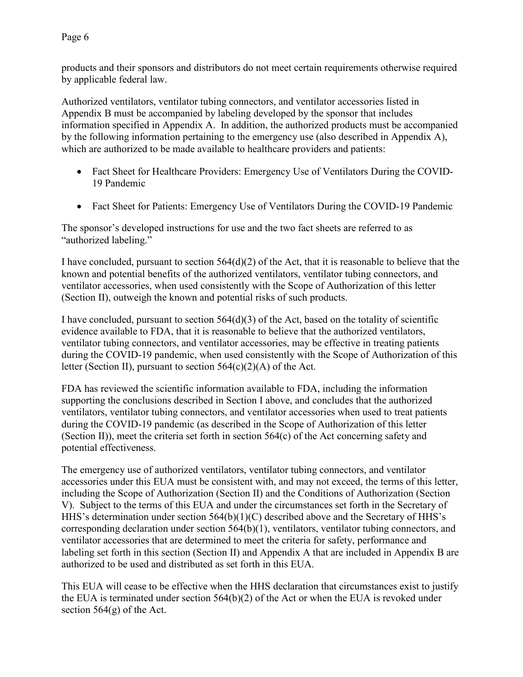Page 6

products and their sponsors and distributors do not meet certain requirements otherwise required by applicable federal law.

Authorized ventilators, ventilator tubing connectors, and ventilator accessories listed in Appendix B must be accompanied by labeling developed by the sponsor that includes information specified in Appendix A. In addition, the authorized products must be accompanied by the following information pertaining to the emergency use (also described in Appendix A), which are authorized to be made available to healthcare providers and patients:

- Fact Sheet for Healthcare Providers: Emergency Use of Ventilators During the COVID-19 Pandemic
- Fact Sheet for Patients: Emergency Use of Ventilators During the COVID-19 Pandemic

The sponsor's developed instructions for use and the two fact sheets are referred to as "authorized labeling."

I have concluded, pursuant to section  $564(d)(2)$  of the Act, that it is reasonable to believe that the known and potential benefits of the authorized ventilators, ventilator tubing connectors, and ventilator accessories, when used consistently with the Scope of Authorization of this letter (Section [II\)](#page-4-0), outweigh the known and potential risks of such products.

I have concluded, pursuant to section  $564(d)(3)$  of the Act, based on the totality of scientific evidence available to FDA, that it is reasonable to believe that the authorized ventilators, ventilator tubing connectors, and ventilator accessories, may be effective in treating patients during the COVID-19 pandemic, when used consistently with the Scope of Authorization of this letter (Section [II\)](#page-4-0), pursuant to section  $564(c)(2)(A)$  of the Act.

FDA has reviewed the scientific information available to FDA, including the information supporting the conclusions described in Section [I above,](#page-3-4) and concludes that the authorized ventilators, ventilator tubing connectors, and ventilator accessories when used to treat patients during the COVID-19 pandemic (as described in the Scope of Authorization of this letter (Section [II\)](#page-4-0)), meet the criteria set forth in section 564(c) of the Act concerning safety and potential effectiveness.

The emergency use of authorized ventilators, ventilator tubing connectors, and ventilator accessories under this EUA must be consistent with, and may not exceed, the terms of this letter, including the Scope of Authorization (Section [II\)](#page-4-0) and the Conditions of Authorization (Section V). Subject to the terms of this EUA and under the circumstances set forth in the Secretary of HHS's determination under section 564(b)(1)(C) described above and the Secretary of HHS's corresponding declaration under section 564(b)(1), ventilators, ventilator tubing connectors, and ventilator accessories that are determined to meet the criteria for safety, performance and labeling set forth in this section (Section II) and Appendix A that are included in [Appendix B](#page-17-0) are authorized to be used and distributed as set forth in this EUA.

This EUA will cease to be effective when the HHS declaration that circumstances exist to justify the EUA is terminated under section 564(b)(2) of the Act or when the EUA is revoked under section  $564(g)$  of the Act.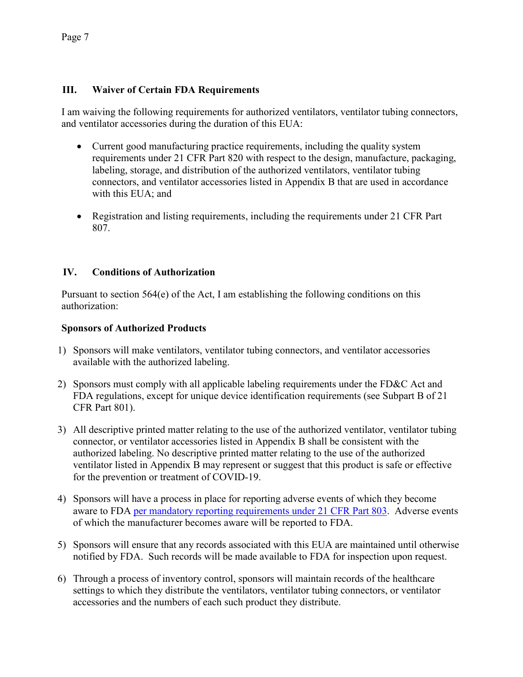#### **III. Waiver of Certain FDA Requirements**

I am waiving the following requirements for authorized ventilators, ventilator tubing connectors, and ventilator accessories during the duration of this EUA:

- Current good manufacturing practice requirements, including the quality system requirements under 21 CFR Part 820 with respect to the design, manufacture, packaging, labeling, storage, and distribution of the authorized ventilators, ventilator tubing connectors, and ventilator accessories listed in [Appendix B](#page-17-0) that are used in accordance with this EUA; and
- Registration and listing requirements, including the requirements under 21 CFR Part 807.

#### **IV. Conditions of Authorization**

Pursuant to section 564(e) of the Act, I am establishing the following conditions on this authorization:

#### **Sponsors of Authorized Products**

- 1) Sponsors will make ventilators, ventilator tubing connectors, and ventilator accessories available with the authorized labeling.
- 2) Sponsors must comply with all applicable labeling requirements under the FD&C Act and FDA regulations, except for unique device identification requirements (see Subpart B of 21 CFR Part 801).
- 3) All descriptive printed matter relating to the use of the authorized ventilator, ventilator tubing connector, or ventilator accessories listed in [Appendix B](#page-17-0) shall be consistent with the authorized labeling. No descriptive printed matter relating to the use of the authorized ventilator listed in [Appendix B](#page-17-0) may represent or suggest that this product is safe or effective for the prevention or treatment of COVID-19.
- 4) Sponsors will have a process in place for reporting adverse events of which they become aware to FDA [per mandatory reporting requirements under 21 CFR Part 803.](https://www.accessdata.fda.gov/scripts/cdrh/cfdocs/cfcfr/CFRSearch.cfm?CFRPart=803) Adverse events of which the manufacturer becomes aware will be reported to FDA.
- 5) Sponsors will ensure that any records associated with this EUA are maintained until otherwise notified by FDA. Such records will be made available to FDA for inspection upon request.
- 6) Through a process of inventory control, sponsors will maintain records of the healthcare settings to which they distribute the ventilators, ventilator tubing connectors, or ventilator accessories and the numbers of each such product they distribute.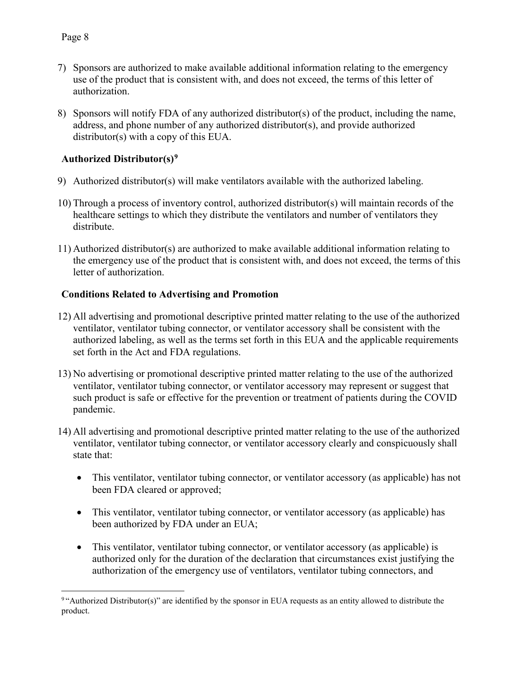- 7) Sponsors are authorized to make available additional information relating to the emergency use of the product that is consistent with, and does not exceed, the terms of this letter of authorization.
- 8) Sponsors will notify FDA of any authorized distributor(s) of the product, including the name, address, and phone number of any authorized distributor(s), and provide authorized distributor(s) with a copy of this EUA.

## **Authorized Distributor(s)[9](#page-10-0)**

- 9) Authorized distributor(s) will make ventilators available with the authorized labeling.
- 10) Through a process of inventory control, authorized distributor(s) will maintain records of the healthcare settings to which they distribute the ventilators and number of ventilators they distribute.
- 11) Authorized distributor(s) are authorized to make available additional information relating to the emergency use of the product that is consistent with, and does not exceed, the terms of this letter of authorization.

#### **Conditions Related to Advertising and Promotion**

- 12) All advertising and promotional descriptive printed matter relating to the use of the authorized ventilator, ventilator tubing connector, or ventilator accessory shall be consistent with the authorized labeling, as well as the terms set forth in this EUA and the applicable requirements set forth in the Act and FDA regulations.
- 13) No advertising or promotional descriptive printed matter relating to the use of the authorized ventilator, ventilator tubing connector, or ventilator accessory may represent or suggest that such product is safe or effective for the prevention or treatment of patients during the COVID pandemic.
- 14) All advertising and promotional descriptive printed matter relating to the use of the authorized ventilator, ventilator tubing connector, or ventilator accessory clearly and conspicuously shall state that:
	- This ventilator, ventilator tubing connector, or ventilator accessory (as applicable) has not been FDA cleared or approved;
	- This ventilator, ventilator tubing connector, or ventilator accessory (as applicable) has been authorized by FDA under an EUA;
	- This ventilator, ventilator tubing connector, or ventilator accessory (as applicable) is authorized only for the duration of the declaration that circumstances exist justifying the authorization of the emergency use of ventilators, ventilator tubing connectors, and

<span id="page-10-0"></span> $\overline{a}$ <sup>9</sup> "Authorized Distributor(s)" are identified by the sponsor in EUA requests as an entity allowed to distribute the product.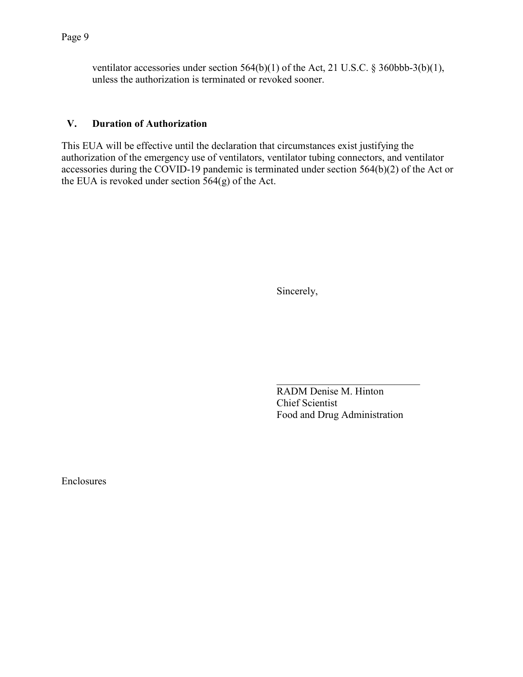ventilator accessories under section 564(b)(1) of the Act, 21 U.S.C. § 360bbb-3(b)(1), unless the authorization is terminated or revoked sooner.

#### **V. Duration of Authorization**

This EUA will be effective until the declaration that circumstances exist justifying the authorization of the emergency use of ventilators, ventilator tubing connectors, and ventilator accessories during the COVID-19 pandemic is terminated under section 564(b)(2) of the Act or the EUA is revoked under section 564(g) of the Act.

Sincerely,

RADM Denise M. Hinton Chief Scientist Food and Drug Administration

 $\mathcal{L}_\text{max}$  , where  $\mathcal{L}_\text{max}$  and  $\mathcal{L}_\text{max}$ 

Enclosures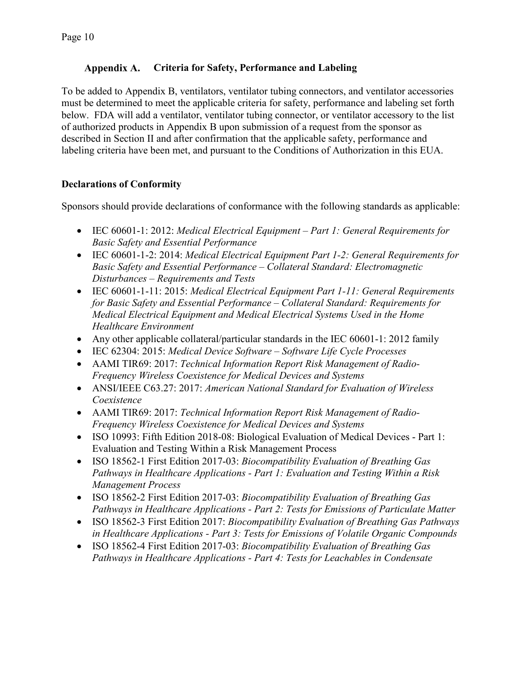#### **Criteria for Safety, Performance and Labeling**

To be added to Appendix B, ventilators, ventilator tubing connectors, and ventilator accessories must be determined to meet the applicable criteria for safety, performance and labeling set forth below. FDA will add a ventilator, ventilator tubing connector, or ventilator accessory to the list of authorized products in [Appendix B](#page-17-0) upon submission of a request from the sponsor as described in Section II and after confirmation that the applicable safety, performance and labeling criteria have been met, and pursuant to the Conditions of Authorization in this EUA.

#### **Declarations of Conformity**

Sponsors should provide declarations of conformance with the following standards as applicable:

- IEC 60601-1: 2012: *Medical Electrical Equipment Part 1: General Requirements for Basic Safety and Essential Performance*
- IEC 60601-1-2: 2014: *Medical Electrical Equipment Part 1-2: General Requirements for Basic Safety and Essential Performance – Collateral Standard: Electromagnetic Disturbances – Requirements and Tests*
- IEC 60601-1-11: 2015: *Medical Electrical Equipment Part 1-11: General Requirements for Basic Safety and Essential Performance – Collateral Standard: Requirements for Medical Electrical Equipment and Medical Electrical Systems Used in the Home Healthcare Environment*
- Any other applicable collateral/particular standards in the IEC 60601-1: 2012 family
- IEC 62304: 2015: *Medical Device Software Software Life Cycle Processes*
- AAMI TIR69: 2017: *Technical Information Report Risk Management of Radio-Frequency Wireless Coexistence for Medical Devices and Systems*
- ANSI/IEEE C63.27: 2017: *American National Standard for Evaluation of Wireless Coexistence*
- AAMI TIR69: 2017: *Technical Information Report Risk Management of Radio-Frequency Wireless Coexistence for Medical Devices and Systems*
- ISO 10993: Fifth Edition 2018-08: Biological Evaluation of Medical Devices Part 1: Evaluation and Testing Within a Risk Management Process
- ISO 18562-1 First Edition 2017-03: *Biocompatibility Evaluation of Breathing Gas Pathways in Healthcare Applications - Part 1: Evaluation and Testing Within a Risk Management Process*
- ISO 18562-2 First Edition 2017-03: *Biocompatibility Evaluation of Breathing Gas Pathways in Healthcare Applications - Part 2: Tests for Emissions of Particulate Matter*
- ISO 18562-3 First Edition 2017: *Biocompatibility Evaluation of Breathing Gas Pathways in Healthcare Applications - Part 3: Tests for Emissions of Volatile Organic Compounds*
- ISO 18562-4 First Edition 2017-03: *Biocompatibility Evaluation of Breathing Gas Pathways in Healthcare Applications - Part 4: Tests for Leachables in Condensate*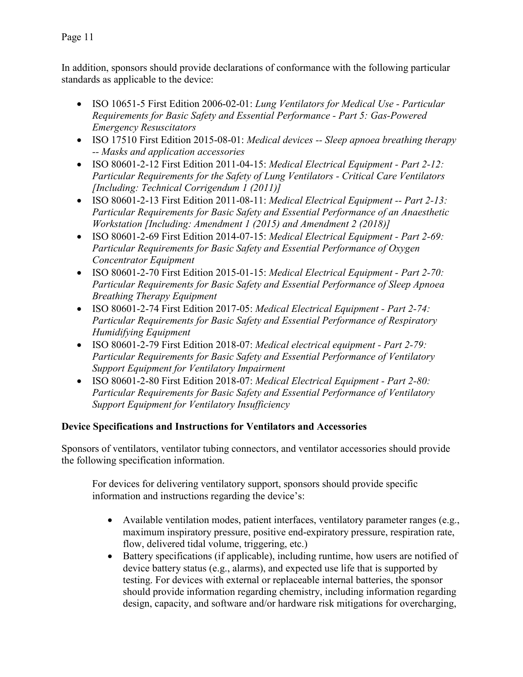Page 11

In addition, sponsors should provide declarations of conformance with the following particular standards as applicable to the device:

- ISO 10651-5 First Edition 2006-02-01: *Lung Ventilators for Medical Use Particular Requirements for Basic Safety and Essential Performance - Part 5: Gas-Powered Emergency Resuscitators*
- ISO 17510 First Edition 2015-08-01: *Medical devices -- Sleep apnoea breathing therapy -- Masks and application accessories*
- ISO 80601-2-12 First Edition 2011-04-15: *Medical Electrical Equipment Part 2-12: Particular Requirements for the Safety of Lung Ventilators - Critical Care Ventilators [Including: Technical Corrigendum 1 (2011)]*
- ISO 80601-2-13 First Edition 2011-08-11: *Medical Electrical Equipment -- Part 2-13: Particular Requirements for Basic Safety and Essential Performance of an Anaesthetic Workstation [Including: Amendment 1 (2015) and Amendment 2 (2018)]*
- ISO 80601-2-69 First Edition 2014-07-15: *Medical Electrical Equipment Part 2-69: Particular Requirements for Basic Safety and Essential Performance of Oxygen Concentrator Equipment*
- ISO 80601-2-70 First Edition 2015-01-15: *Medical Electrical Equipment Part 2-70: Particular Requirements for Basic Safety and Essential Performance of Sleep Apnoea Breathing Therapy Equipment*
- ISO 80601-2-74 First Edition 2017-05: *Medical Electrical Equipment Part 2-74: Particular Requirements for Basic Safety and Essential Performance of Respiratory Humidifying Equipment*
- ISO 80601-2-79 First Edition 2018-07: *Medical electrical equipment Part 2-79: Particular Requirements for Basic Safety and Essential Performance of Ventilatory Support Equipment for Ventilatory Impairment*
- ISO 80601-2-80 First Edition 2018-07: *Medical Electrical Equipment Part 2-80: Particular Requirements for Basic Safety and Essential Performance of Ventilatory Support Equipment for Ventilatory Insufficiency*

## **Device Specifications and Instructions for Ventilators and Accessories**

Sponsors of ventilators, ventilator tubing connectors, and ventilator accessories should provide the following specification information.

For devices for delivering ventilatory support, sponsors should provide specific information and instructions regarding the device's:

- Available ventilation modes, patient interfaces, ventilatory parameter ranges (e.g., maximum inspiratory pressure, positive end-expiratory pressure, respiration rate, flow, delivered tidal volume, triggering, etc.)
- Battery specifications (if applicable), including runtime, how users are notified of device battery status (e.g., alarms), and expected use life that is supported by testing. For devices with external or replaceable internal batteries, the sponsor should provide information regarding chemistry, including information regarding design, capacity, and software and/or hardware risk mitigations for overcharging,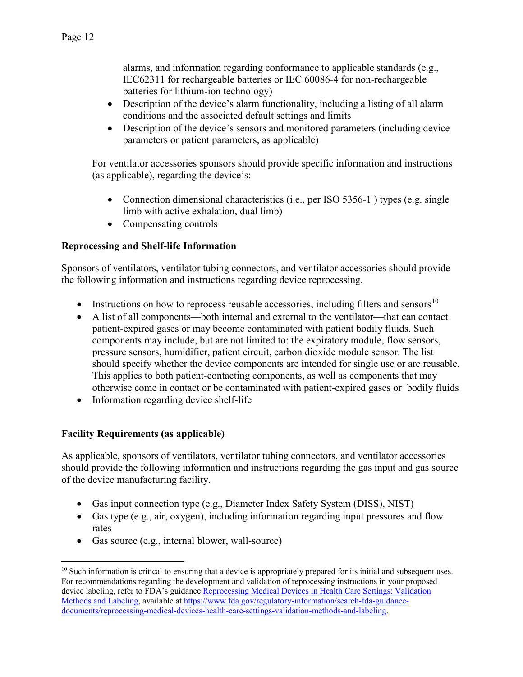alarms, and information regarding conformance to applicable standards (e.g., IEC62311 for rechargeable batteries or IEC 60086-4 for non-rechargeable batteries for lithium-ion technology)

- Description of the device's alarm functionality, including a listing of all alarm conditions and the associated default settings and limits
- Description of the device's sensors and monitored parameters (including device parameters or patient parameters, as applicable)

For ventilator accessories sponsors should provide specific information and instructions (as applicable), regarding the device's:

- Connection dimensional characteristics (i.e., per ISO 5356-1) types (e.g. single limb with active exhalation, dual limb)
- Compensating controls

## **Reprocessing and Shelf-life Information**

Sponsors of ventilators, ventilator tubing connectors, and ventilator accessories should provide the following information and instructions regarding device reprocessing.

- Instructions on how to reprocess reusable accessories, including filters and sensors<sup>[10](#page-14-0)</sup>
- A list of all components—both internal and external to the ventilator—that can contact patient-expired gases or may become contaminated with patient bodily fluids. Such components may include, but are not limited to: the expiratory module, flow sensors, pressure sensors, humidifier, patient circuit, carbon dioxide module sensor. The list should specify whether the device components are intended for single use or are reusable. This applies to both patient-contacting components, as well as components that may otherwise come in contact or be contaminated with patient-expired gases or bodily fluids
- Information regarding device shelf-life

## **Facility Requirements (as applicable)**

As applicable, sponsors of ventilators, ventilator tubing connectors, and ventilator accessories should provide the following information and instructions regarding the gas input and gas source of the device manufacturing facility.

- Gas input connection type (e.g., Diameter Index Safety System (DISS), NIST)
- Gas type (e.g., air, oxygen), including information regarding input pressures and flow rates
- Gas source (e.g., internal blower, wall-source)

<span id="page-14-0"></span> $\overline{a}$  $10$  Such information is critical to ensuring that a device is appropriately prepared for its initial and subsequent uses. For recommendations regarding the development and validation of reprocessing instructions in your proposed device labeling, refer to FDA's guidance [Reprocessing Medical Devices in Health Care Settings: Validation](https://www.fda.gov/regulatory-information/search-fda-guidance-documents/reprocessing-medical-devices-health-care-settings-validation-methods-and-labeling)  [Methods and Labeling,](https://www.fda.gov/regulatory-information/search-fda-guidance-documents/reprocessing-medical-devices-health-care-settings-validation-methods-and-labeling) available at [https://www.fda.gov/regulatory-information/search-fda-guidance](https://www.fda.gov/regulatory-information/search-fda-guidance-documents/reprocessing-medical-devices-health-care-settings-validation-methods-and-labeling)[documents/reprocessing-medical-devices-health-care-settings-validation-methods-and-labeling.](https://www.fda.gov/regulatory-information/search-fda-guidance-documents/reprocessing-medical-devices-health-care-settings-validation-methods-and-labeling)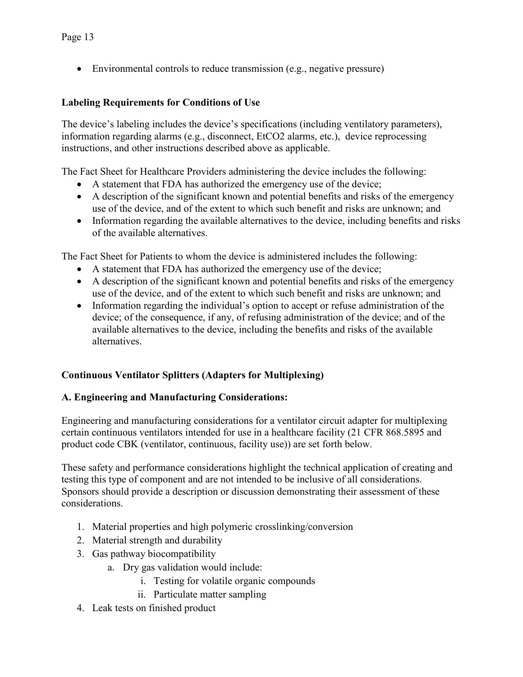• Environmental controls to reduce transmission (e.g., negative pressure)

#### **Labeling Requirements for Conditions of Use**

The device's labeling includes the device's specifications (including ventilatory parameters), information regarding alarms (e.g., disconnect, EtCO2 alarms, etc.), device reprocessing instructions, and other instructions described above as applicable.

The Fact Sheet for Healthcare Providers administering the device includes the following:

- A statement that FDA has authorized the emergency use of the device;
- A description of the significant known and potential benefits and risks of the emergency use of the device, and of the extent to which such benefit and risks are unknown; and
- Information regarding the available alternatives to the device, including benefits and risks of the available alternatives.

The Fact Sheet for Patients to whom the device is administered includes the following:

- A statement that FDA has authorized the emergency use of the device;
- A description of the significant known and potential benefits and risks of the emergency use of the device, and of the extent to which such benefit and risks are unknown; and
- Information regarding the individual's option to accept or refuse administration of the device; of the consequence, if any, of refusing administration of the device; and of the available alternatives to the device, including the benefits and risks of the available alternatives.

#### **Continuous Ventilator Splitters (Adapters for Multiplexing)**

#### **A. Engineering and Manufacturing Considerations:**

Engineering and manufacturing considerations for a ventilator circuit adapter for multiplexing certain continuous ventilators intended for use in a healthcare facility (21 CFR 868.5895 and product code CBK (ventilator, continuous, facility use)) are set forth below.

These safety and performance considerations highlight the technical application of creating and testing this type of component and are not intended to be inclusive of all considerations. Sponsors should provide a description or discussion demonstrating their assessment of these considerations.

- 1. Material properties and high polymeric crosslinking/conversion
- 2. Material strength and durability
- 3. Gas pathway biocompatibility
	- a. Dry gas validation would include:
		- i. Testing for volatile organic compounds
		- ii. Particulate matter sampling
- 4. Leak tests on finished product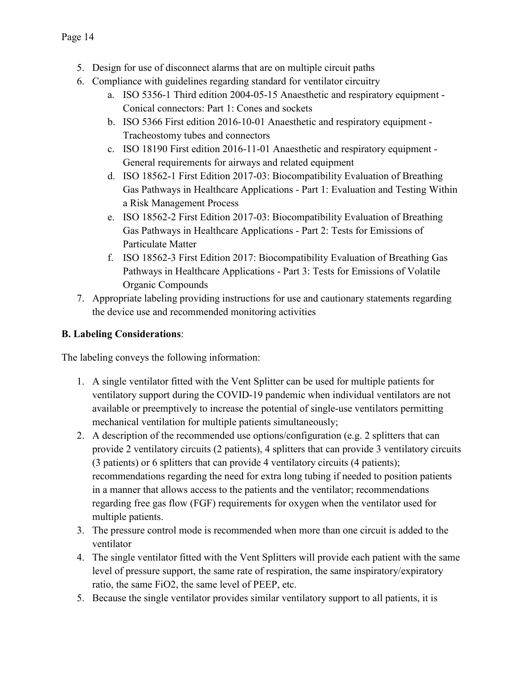- 5. Design for use of disconnect alarms that are on multiple circuit paths
- 6. Compliance with guidelines regarding standard for ventilator circuitry
	- a. ISO 5356-1 Third edition 2004-05-15 Anaesthetic and respiratory equipment Conical connectors: Part 1: Cones and sockets
	- b. ISO 5366 First edition 2016-10-01 Anaesthetic and respiratory equipment Tracheostomy tubes and connectors
	- c. ISO 18190 First edition 2016-11-01 Anaesthetic and respiratory equipment General requirements for airways and related equipment
	- d. ISO 18562-1 First Edition 2017-03: Biocompatibility Evaluation of Breathing Gas Pathways in Healthcare Applications - Part 1: Evaluation and Testing Within a Risk Management Process
	- e. ISO 18562-2 First Edition 2017-03: Biocompatibility Evaluation of Breathing Gas Pathways in Healthcare Applications - Part 2: Tests for Emissions of Particulate Matter
	- f. ISO 18562-3 First Edition 2017: Biocompatibility Evaluation of Breathing Gas Pathways in Healthcare Applications - Part 3: Tests for Emissions of Volatile Organic Compounds
- 7. Appropriate labeling providing instructions for use and cautionary statements regarding the device use and recommended monitoring activities

# **B. Labeling Considerations**:

The labeling conveys the following information:

- 1. A single ventilator fitted with the Vent Splitter can be used for multiple patients for ventilatory support during the COVID-19 pandemic when individual ventilators are not available or preemptively to increase the potential of single-use ventilators permitting mechanical ventilation for multiple patients simultaneously;
- 2. A description of the recommended use options/configuration (e.g. 2 splitters that can provide 2 ventilatory circuits (2 patients), 4 splitters that can provide 3 ventilatory circuits (3 patients) or 6 splitters that can provide 4 ventilatory circuits (4 patients); recommendations regarding the need for extra long tubing if needed to position patients in a manner that allows access to the patients and the ventilator; recommendations regarding free gas flow (FGF) requirements for oxygen when the ventilator used for multiple patients.
- 3. The pressure control mode is recommended when more than one circuit is added to the ventilator
- 4. The single ventilator fitted with the Vent Splitters will provide each patient with the same level of pressure support, the same rate of respiration, the same inspiratory/expiratory ratio, the same FiO2, the same level of PEEP, etc.
- 5. Because the single ventilator provides similar ventilatory support to all patients, it is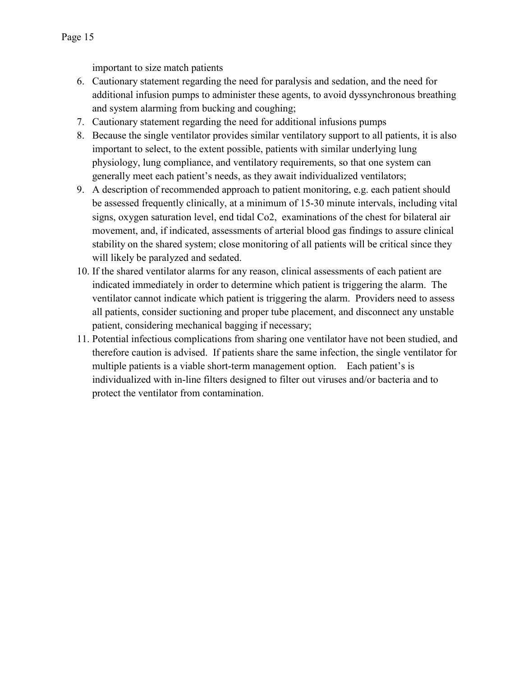important to size match patients

- 6. Cautionary statement regarding the need for paralysis and sedation, and the need for additional infusion pumps to administer these agents, to avoid dyssynchronous breathing and system alarming from bucking and coughing;
- 7. Cautionary statement regarding the need for additional infusions pumps
- 8. Because the single ventilator provides similar ventilatory support to all patients, it is also important to select, to the extent possible, patients with similar underlying lung physiology, lung compliance, and ventilatory requirements, so that one system can generally meet each patient's needs, as they await individualized ventilators;
- 9. A description of recommended approach to patient monitoring, e.g. each patient should be assessed frequently clinically, at a minimum of 15-30 minute intervals, including vital signs, oxygen saturation level, end tidal Co2, examinations of the chest for bilateral air movement, and, if indicated, assessments of arterial blood gas findings to assure clinical stability on the shared system; close monitoring of all patients will be critical since they will likely be paralyzed and sedated.
- 10. If the shared ventilator alarms for any reason, clinical assessments of each patient are indicated immediately in order to determine which patient is triggering the alarm. The ventilator cannot indicate which patient is triggering the alarm. Providers need to assess all patients, consider suctioning and proper tube placement, and disconnect any unstable patient, considering mechanical bagging if necessary;
- <span id="page-17-0"></span>11. Potential infectious complications from sharing one ventilator have not been studied, and therefore caution is advised. If patients share the same infection, the single ventilator for multiple patients is a viable short-term management option. Each patient's is individualized with in-line filters designed to filter out viruses and/or bacteria and to protect the ventilator from contamination.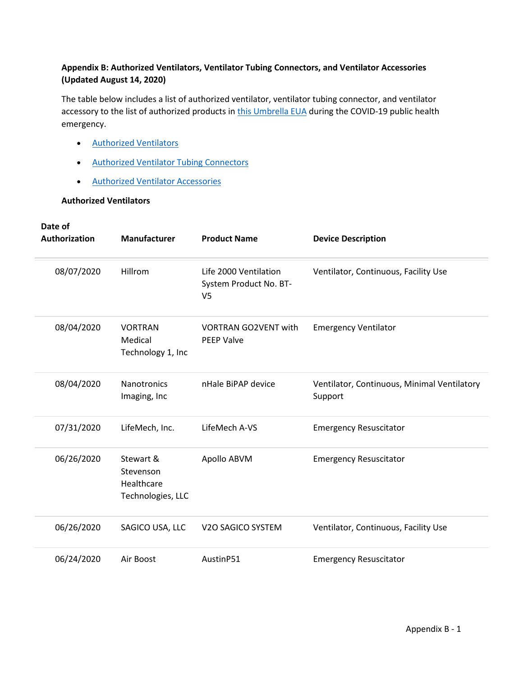#### **Appendix B: Authorized Ventilators, Ventilator Tubing Connectors, and Ventilator Accessories (Updated August 14, 2020)**

The table below includes a list of authorized ventilator, ventilator tubing connector, and ventilator accessory to the list of authorized products in [this Umbrella EUA](https://www.fda.gov/media/136423/download) during the COVID-19 public health emergency.

- [Authorized Ventilators](https://www.fda.gov/medical-devices/coronavirus-disease-2019-covid-19-emergency-use-authorizations-medical-devices/ventilators-and-ventilator-accessories-euas#ventilators)
- [Authorized Ventilator Tubing Connectors](https://www.fda.gov/medical-devices/coronavirus-disease-2019-covid-19-emergency-use-authorizations-medical-devices/ventilators-and-ventilator-accessories-euas#tubing)
- [Authorized Ventilator Accessories](https://www.fda.gov/medical-devices/coronavirus-disease-2019-covid-19-emergency-use-authorizations-medical-devices/ventilators-and-ventilator-accessories-euas#accessories)

#### **Authorized Ventilators**

| Date of<br>Authorization | <b>Manufacturer</b>                                       | <b>Product Name</b>                                               | <b>Device Description</b>                              |
|--------------------------|-----------------------------------------------------------|-------------------------------------------------------------------|--------------------------------------------------------|
| 08/07/2020               | Hillrom                                                   | Life 2000 Ventilation<br>System Product No. BT-<br>V <sub>5</sub> | Ventilator, Continuous, Facility Use                   |
| 08/04/2020               | <b>VORTRAN</b><br>Medical<br>Technology 1, Inc            | <b>VORTRAN GO2VENT with</b><br><b>PEEP Valve</b>                  | <b>Emergency Ventilator</b>                            |
| 08/04/2020               | Nanotronics<br>Imaging, Inc                               | nHale BiPAP device                                                | Ventilator, Continuous, Minimal Ventilatory<br>Support |
| 07/31/2020               | LifeMech, Inc.                                            | LifeMech A-VS                                                     | <b>Emergency Resuscitator</b>                          |
| 06/26/2020               | Stewart &<br>Stevenson<br>Healthcare<br>Technologies, LLC | Apollo ABVM                                                       | <b>Emergency Resuscitator</b>                          |
| 06/26/2020               | SAGICO USA, LLC                                           | V2O SAGICO SYSTEM                                                 | Ventilator, Continuous, Facility Use                   |
| 06/24/2020               | Air Boost                                                 | AustinP51                                                         | <b>Emergency Resuscitator</b>                          |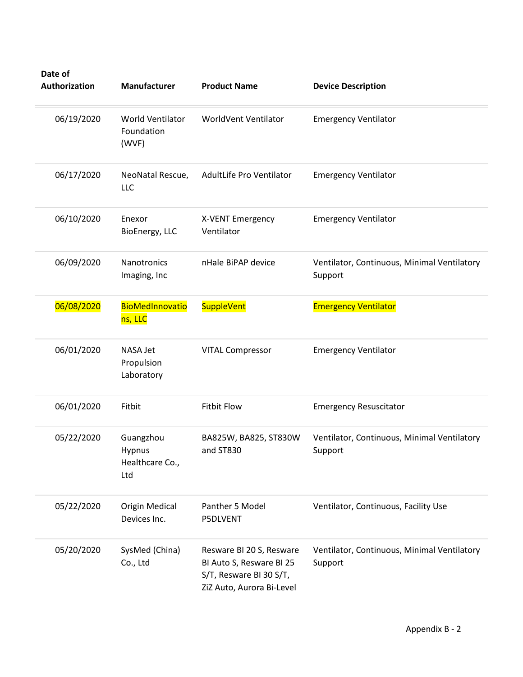| Date of<br>Authorization | Manufacturer                                  | <b>Product Name</b>                                                                                          | <b>Device Description</b>                              |
|--------------------------|-----------------------------------------------|--------------------------------------------------------------------------------------------------------------|--------------------------------------------------------|
| 06/19/2020               | World Ventilator<br>Foundation<br>(WVF)       | WorldVent Ventilator                                                                                         | <b>Emergency Ventilator</b>                            |
| 06/17/2020               | NeoNatal Rescue,<br>LLC                       | AdultLife Pro Ventilator                                                                                     | <b>Emergency Ventilator</b>                            |
| 06/10/2020               | Enexor<br>BioEnergy, LLC                      | X-VENT Emergency<br>Ventilator                                                                               | <b>Emergency Ventilator</b>                            |
| 06/09/2020               | Nanotronics<br>Imaging, Inc                   | nHale BiPAP device                                                                                           | Ventilator, Continuous, Minimal Ventilatory<br>Support |
| 06/08/2020               | BioMedInnovatio<br>ns, LLC                    | SuppleVent                                                                                                   | <b>Emergency Ventilator</b>                            |
| 06/01/2020               | <b>NASA Jet</b><br>Propulsion<br>Laboratory   | <b>VITAL Compressor</b>                                                                                      | <b>Emergency Ventilator</b>                            |
| 06/01/2020               | Fitbit                                        | <b>Fitbit Flow</b>                                                                                           | <b>Emergency Resuscitator</b>                          |
| 05/22/2020               | Guangzhou<br>Hypnus<br>Healthcare Co.,<br>Ltd | BA825W, BA825, ST830W<br>and ST830                                                                           | Ventilator, Continuous, Minimal Ventilatory<br>Support |
| 05/22/2020               | <b>Origin Medical</b><br>Devices Inc.         | Panther 5 Model<br>P5DLVENT                                                                                  | Ventilator, Continuous, Facility Use                   |
| 05/20/2020               | SysMed (China)<br>Co., Ltd                    | Resware BI 20 S, Resware<br>Bl Auto S, Resware Bl 25<br>S/T, Resware BI 30 S/T,<br>ZiZ Auto, Aurora Bi-Level | Ventilator, Continuous, Minimal Ventilatory<br>Support |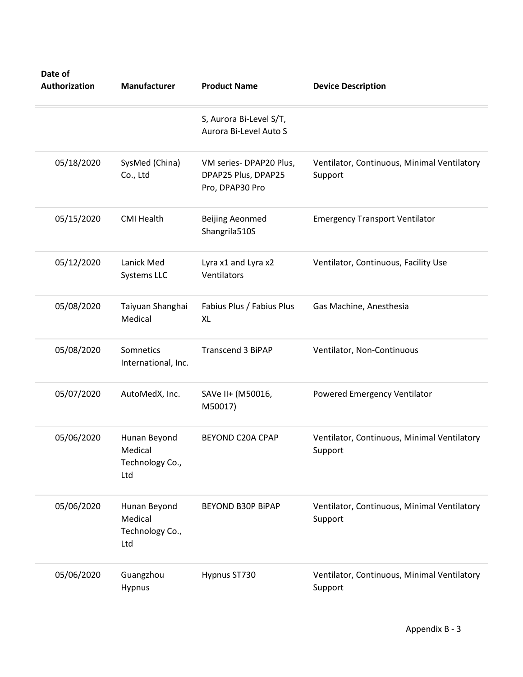| Date of<br>Authorization | Manufacturer                                      | <b>Product Name</b>                                              | <b>Device Description</b>                              |
|--------------------------|---------------------------------------------------|------------------------------------------------------------------|--------------------------------------------------------|
|                          |                                                   | S, Aurora Bi-Level S/T,<br>Aurora Bi-Level Auto S                |                                                        |
| 05/18/2020               | SysMed (China)<br>Co., Ltd                        | VM series-DPAP20 Plus,<br>DPAP25 Plus, DPAP25<br>Pro, DPAP30 Pro | Ventilator, Continuous, Minimal Ventilatory<br>Support |
| 05/15/2020               | <b>CMI Health</b>                                 | <b>Beijing Aeonmed</b><br>Shangrila510S                          | <b>Emergency Transport Ventilator</b>                  |
| 05/12/2020               | Lanick Med<br>Systems LLC                         | Lyra x1 and Lyra x2<br>Ventilators                               | Ventilator, Continuous, Facility Use                   |
| 05/08/2020               | Taiyuan Shanghai<br>Medical                       | Fabius Plus / Fabius Plus<br>XL                                  | Gas Machine, Anesthesia                                |
| 05/08/2020               | Somnetics<br>International, Inc.                  | <b>Transcend 3 BiPAP</b>                                         | Ventilator, Non-Continuous                             |
| 05/07/2020               | AutoMedX, Inc.                                    | SAVe II+ (M50016,<br>M50017)                                     | Powered Emergency Ventilator                           |
| 05/06/2020               | Hunan Beyond<br>Medical<br>Technology Co.,<br>Ltd | <b>BEYOND C20A CPAP</b>                                          | Ventilator, Continuous, Minimal Ventilatory<br>Support |
| 05/06/2020               | Hunan Beyond<br>Medical<br>Technology Co.,<br>Ltd | <b>BEYOND B30P BIPAP</b>                                         | Ventilator, Continuous, Minimal Ventilatory<br>Support |
| 05/06/2020               | Guangzhou<br>Hypnus                               | Hypnus ST730                                                     | Ventilator, Continuous, Minimal Ventilatory<br>Support |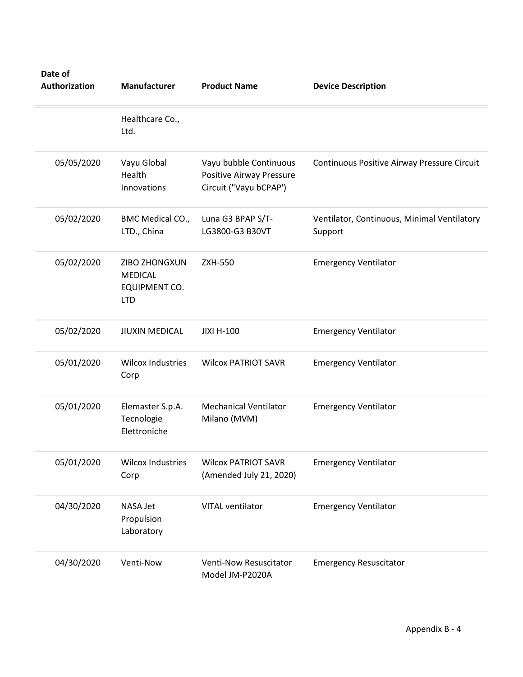| Date of<br>Authorization | Manufacturer                                                   | <b>Product Name</b>                                                                 | <b>Device Description</b>                              |
|--------------------------|----------------------------------------------------------------|-------------------------------------------------------------------------------------|--------------------------------------------------------|
|                          | Healthcare Co.,<br>Ltd.                                        |                                                                                     |                                                        |
| 05/05/2020               | Vayu Global<br>Health<br>Innovations                           | Vayu bubble Continuous<br><b>Positive Airway Pressure</b><br>Circuit ("Vayu bCPAP') | Continuous Positive Airway Pressure Circuit            |
| 05/02/2020               | BMC Medical CO.,<br>LTD., China                                | Luna G3 BPAP S/T-<br>LG3800-G3 B30VT                                                | Ventilator, Continuous, Minimal Ventilatory<br>Support |
| 05/02/2020               | ZIBO ZHONGXUN<br><b>MEDICAL</b><br>EQUIPMENT CO.<br><b>LTD</b> | <b>ZXH-550</b>                                                                      | <b>Emergency Ventilator</b>                            |
| 05/02/2020               | <b>JIUXIN MEDICAL</b>                                          | <b>JIXI H-100</b>                                                                   | <b>Emergency Ventilator</b>                            |
| 05/01/2020               | <b>Wilcox Industries</b><br>Corp                               | <b>Wilcox PATRIOT SAVR</b>                                                          | <b>Emergency Ventilator</b>                            |
| 05/01/2020               | Elemaster S.p.A.<br>Tecnologie<br>Elettroniche                 | <b>Mechanical Ventilator</b><br>Milano (MVM)                                        | <b>Emergency Ventilator</b>                            |
| 05/01/2020               | <b>Wilcox Industries</b><br>Corp                               | <b>Wilcox PATRIOT SAVR</b><br>(Amended July 21, 2020)                               | <b>Emergency Ventilator</b>                            |
| 04/30/2020               | NASA Jet<br>Propulsion<br>Laboratory                           | VITAL ventilator                                                                    | <b>Emergency Ventilator</b>                            |
| 04/30/2020               | Venti-Now                                                      | <b>Venti-Now Resuscitator</b><br>Model JM-P2020A                                    | <b>Emergency Resuscitator</b>                          |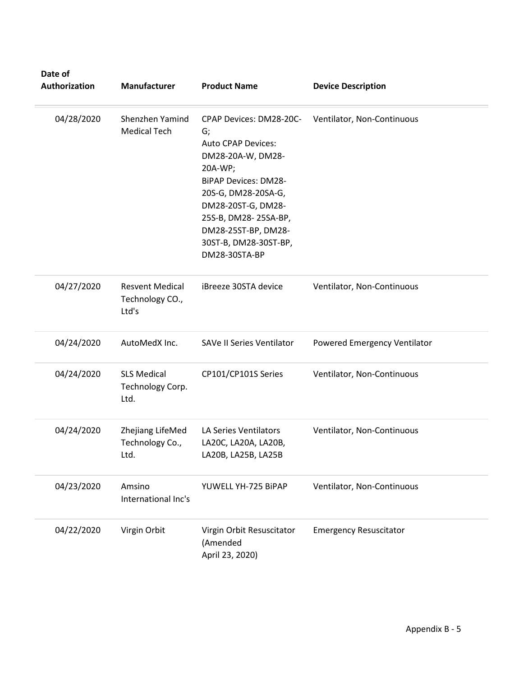| Date of<br>Authorization | Manufacturer                                       | <b>Product Name</b>                                                                                                                                                                                                                                             | <b>Device Description</b>     |
|--------------------------|----------------------------------------------------|-----------------------------------------------------------------------------------------------------------------------------------------------------------------------------------------------------------------------------------------------------------------|-------------------------------|
| 04/28/2020               | Shenzhen Yamind<br><b>Medical Tech</b>             | CPAP Devices: DM28-20C-<br>G;<br><b>Auto CPAP Devices:</b><br>DM28-20A-W, DM28-<br>20A-WP;<br><b>BiPAP Devices: DM28-</b><br>20S-G, DM28-20SA-G,<br>DM28-20ST-G, DM28-<br>25S-B, DM28-25SA-BP,<br>DM28-25ST-BP, DM28-<br>30ST-B, DM28-30ST-BP,<br>DM28-30STA-BP | Ventilator, Non-Continuous    |
| 04/27/2020               | <b>Resvent Medical</b><br>Technology CO.,<br>Ltd's | iBreeze 30STA device                                                                                                                                                                                                                                            | Ventilator, Non-Continuous    |
| 04/24/2020               | AutoMedX Inc.                                      | SAVe II Series Ventilator                                                                                                                                                                                                                                       | Powered Emergency Ventilator  |
| 04/24/2020               | <b>SLS Medical</b><br>Technology Corp.<br>Ltd.     | CP101/CP101S Series                                                                                                                                                                                                                                             | Ventilator, Non-Continuous    |
| 04/24/2020               | Zhejiang LifeMed<br>Technology Co.,<br>Ltd.        | LA Series Ventilators<br>LA20C, LA20A, LA20B,<br>LA20B, LA25B, LA25B                                                                                                                                                                                            | Ventilator, Non-Continuous    |
| 04/23/2020               | Amsino<br>International Inc's                      | YUWELL YH-725 BiPAP                                                                                                                                                                                                                                             | Ventilator, Non-Continuous    |
| 04/22/2020               | Virgin Orbit                                       | Virgin Orbit Resuscitator<br>(Amended<br>April 23, 2020)                                                                                                                                                                                                        | <b>Emergency Resuscitator</b> |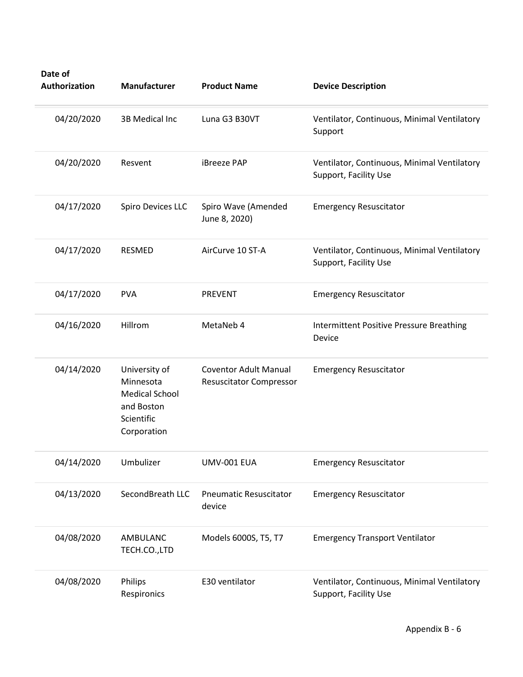| Date of<br>Authorization | <b>Manufacturer</b>                                                                            | <b>Product Name</b>                                            | <b>Device Description</b>                                            |
|--------------------------|------------------------------------------------------------------------------------------------|----------------------------------------------------------------|----------------------------------------------------------------------|
| 04/20/2020               | 3B Medical Inc                                                                                 | Luna G3 B30VT                                                  | Ventilator, Continuous, Minimal Ventilatory<br>Support               |
| 04/20/2020               | Resvent                                                                                        | iBreeze PAP                                                    | Ventilator, Continuous, Minimal Ventilatory<br>Support, Facility Use |
| 04/17/2020               | Spiro Devices LLC                                                                              | Spiro Wave (Amended<br>June 8, 2020)                           | <b>Emergency Resuscitator</b>                                        |
| 04/17/2020               | RESMED                                                                                         | AirCurve 10 ST-A                                               | Ventilator, Continuous, Minimal Ventilatory<br>Support, Facility Use |
| 04/17/2020               | <b>PVA</b>                                                                                     | <b>PREVENT</b>                                                 | <b>Emergency Resuscitator</b>                                        |
| 04/16/2020               | Hillrom                                                                                        | MetaNeb 4                                                      | <b>Intermittent Positive Pressure Breathing</b><br>Device            |
| 04/14/2020               | University of<br>Minnesota<br><b>Medical School</b><br>and Boston<br>Scientific<br>Corporation | <b>Coventor Adult Manual</b><br><b>Resuscitator Compressor</b> | <b>Emergency Resuscitator</b>                                        |
| 04/14/2020               | Umbulizer                                                                                      | UMV-001 EUA                                                    | <b>Emergency Resuscitator</b>                                        |
| 04/13/2020               | SecondBreath LLC                                                                               | <b>Pneumatic Resuscitator</b><br>device                        | <b>Emergency Resuscitator</b>                                        |
| 04/08/2020               | AMBULANC<br>TECH.CO.,LTD                                                                       | Models 6000S, T5, T7                                           | <b>Emergency Transport Ventilator</b>                                |
| 04/08/2020               | Philips<br>Respironics                                                                         | E30 ventilator                                                 | Ventilator, Continuous, Minimal Ventilatory<br>Support, Facility Use |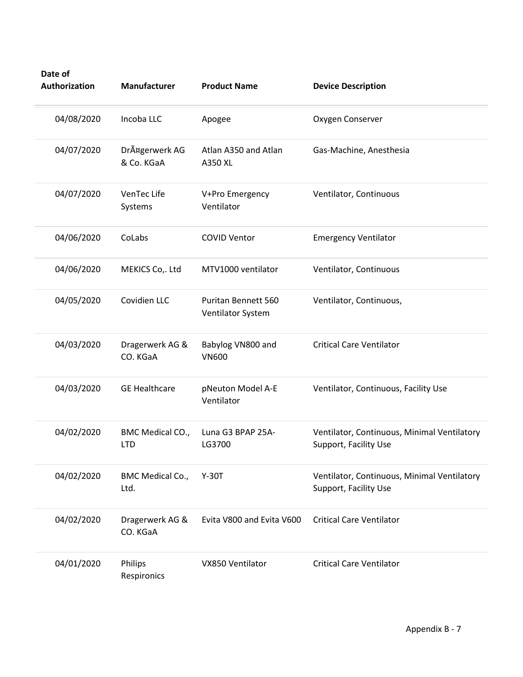| Date of<br>Authorization | Manufacturer                   | <b>Product Name</b>                             | <b>Device Description</b>                                            |
|--------------------------|--------------------------------|-------------------------------------------------|----------------------------------------------------------------------|
| 04/08/2020               | Incoba LLC                     | Apogee                                          | Oxygen Conserver                                                     |
| 04/07/2020               | DrĤgerwerk AG<br>& Co. KGaA    | Atlan A350 and Atlan<br>A350 XL                 | Gas-Machine, Anesthesia                                              |
| 04/07/2020               | VenTec Life<br>Systems         | V+Pro Emergency<br>Ventilator                   | Ventilator, Continuous                                               |
| 04/06/2020               | CoLabs                         | <b>COVID Ventor</b>                             | <b>Emergency Ventilator</b>                                          |
| 04/06/2020               | MEKICS Co,. Ltd                | MTV1000 ventilator                              | Ventilator, Continuous                                               |
| 04/05/2020               | Covidien LLC                   | <b>Puritan Bennett 560</b><br>Ventilator System | Ventilator, Continuous,                                              |
| 04/03/2020               | Dragerwerk AG &<br>CO. KGaA    | Babylog VN800 and<br><b>VN600</b>               | <b>Critical Care Ventilator</b>                                      |
| 04/03/2020               | <b>GE Healthcare</b>           | pNeuton Model A-E<br>Ventilator                 | Ventilator, Continuous, Facility Use                                 |
| 04/02/2020               | BMC Medical CO.,<br><b>LTD</b> | Luna G3 BPAP 25A-<br>LG3700                     | Ventilator, Continuous, Minimal Ventilatory<br>Support, Facility Use |
| 04/02/2020               | BMC Medical Co.,<br>Ltd.       | $Y-30T$                                         | Ventilator, Continuous, Minimal Ventilatory<br>Support, Facility Use |
| 04/02/2020               | Dragerwerk AG &<br>CO. KGaA    | Evita V800 and Evita V600                       | <b>Critical Care Ventilator</b>                                      |
| 04/01/2020               | Philips<br>Respironics         | VX850 Ventilator                                | <b>Critical Care Ventilator</b>                                      |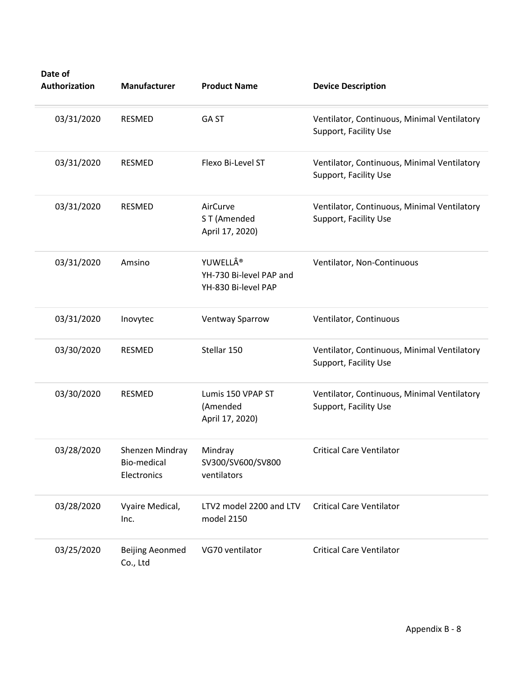| Date of<br>Authorization | Manufacturer                                          | <b>Product Name</b>                                       | <b>Device Description</b>                                            |
|--------------------------|-------------------------------------------------------|-----------------------------------------------------------|----------------------------------------------------------------------|
| 03/31/2020               | <b>RESMED</b>                                         | <b>GAST</b>                                               | Ventilator, Continuous, Minimal Ventilatory<br>Support, Facility Use |
| 03/31/2020               | <b>RESMED</b>                                         | Flexo Bi-Level ST                                         | Ventilator, Continuous, Minimal Ventilatory<br>Support, Facility Use |
| 03/31/2020               | <b>RESMED</b>                                         | AirCurve<br>ST (Amended<br>April 17, 2020)                | Ventilator, Continuous, Minimal Ventilatory<br>Support, Facility Use |
| 03/31/2020               | Amsino                                                | YUWELL®<br>YH-730 Bi-level PAP and<br>YH-830 Bi-level PAP | Ventilator, Non-Continuous                                           |
| 03/31/2020               | Inovytec                                              | <b>Ventway Sparrow</b>                                    | Ventilator, Continuous                                               |
| 03/30/2020               | <b>RESMED</b>                                         | Stellar 150                                               | Ventilator, Continuous, Minimal Ventilatory<br>Support, Facility Use |
| 03/30/2020               | RESMED                                                | Lumis 150 VPAP ST<br>(Amended<br>April 17, 2020)          | Ventilator, Continuous, Minimal Ventilatory<br>Support, Facility Use |
| 03/28/2020               | Shenzen Mindray Mindray<br>Bio-medical<br>Electronics | SV300/SV600/SV800<br>ventilators                          | <b>Critical Care Ventilator</b>                                      |
| 03/28/2020               | Vyaire Medical,<br>Inc.                               | LTV2 model 2200 and LTV<br>model 2150                     | <b>Critical Care Ventilator</b>                                      |
| 03/25/2020               | <b>Beijing Aeonmed</b><br>Co., Ltd                    | VG70 ventilator                                           | <b>Critical Care Ventilator</b>                                      |